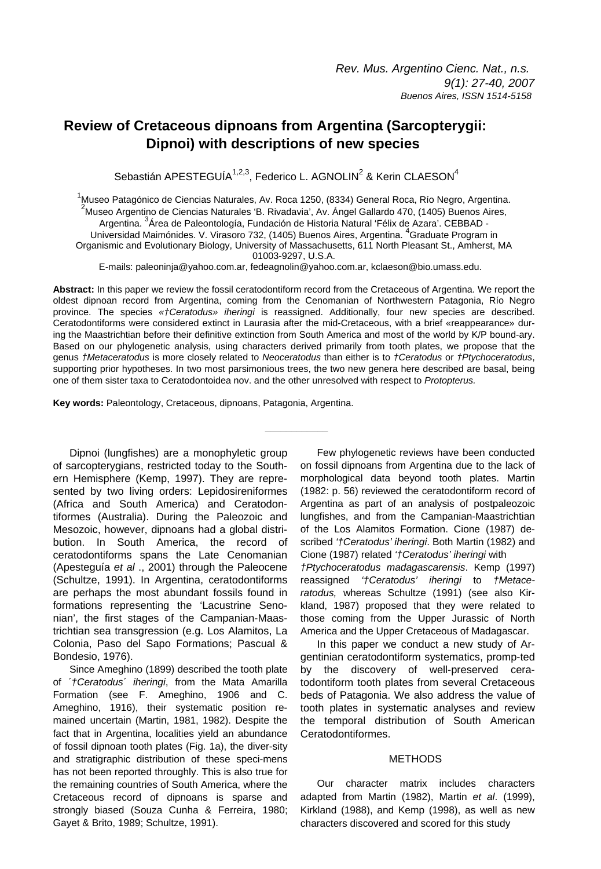# **Review of Cretaceous dipnoans from Argentina (Sarcopterygii: Dipnoi) with descriptions of new species**

Sebastián APESTEGUÍA $^{1,2,3}$ , Federico L. AGNOLIN<sup>2</sup> & Kerin CLAESON<sup>4</sup>

1<br>Auseo Patagónico de Ciencias Naturales, Av. Roca 1250, (8334) General Roca, Río Negro, Argentina.<br><sup>2</sup>Museo Argentino de Ciencias Naturales (P. Biugdavia), Av. Ángel Callerdo 470, (4405) Buenos Aires.  $<sup>2</sup>$ Museo Argentino de Ciencias Naturales 'B. Rivadavia', Av. Ángel Gallardo 470, (1405) Buenos Aires,</sup> Argentina. <sup>3</sup>Área de Paleontología, Fundación de Historia Natural 'Félix de Azara'. CEBBAD -Universidad Maimónides. V. Virasoro 732, (1405) Buenos Aires, Argentina. <sup>4</sup>Graduate Program in Organismic and Evolutionary Biology, University of Massachusetts, 611 North Pleasant St., Amherst, MA 01003-9297, U.S.A.

E-mails: paleoninja@yahoo.com.ar, fedeagnolin@yahoo.com.ar, kclaeson@bio.umass.edu.

**Abstract:** In this paper we review the fossil ceratodontiform record from the Cretaceous of Argentina. We report the oldest dipnoan record from Argentina, coming from the Cenomanian of Northwestern Patagonia, Río Negro province. The species *«†Ceratodus» iheringi* is reassigned. Additionally, four new species are described. Ceratodontiforms were considered extinct in Laurasia after the mid-Cretaceous, with a brief «reappearance» during the Maastrichtian before their definitive extinction from South America and most of the world by K/P bound-ary. Based on our phylogenetic analysis, using characters derived primarily from tooth plates, we propose that the genus *†Metaceratodus* is more closely related to *Neoceratodus* than either is to *†Ceratodus* or *†Ptychoceratodus*, supporting prior hypotheses. In two most parsimonious trees, the two new genera here described are basal, being one of them sister taxa to Ceratodontoidea nov. and the other unresolved with respect to *Protopterus.*

**\_\_\_\_\_\_\_\_\_\_\_\_**

**Key words:** Paleontology, Cretaceous, dipnoans, Patagonia, Argentina.

Dipnoi (lungfishes) are a monophyletic group of sarcopterygians, restricted today to the Southern Hemisphere (Kemp, 1997). They are represented by two living orders: Lepidosireniformes (Africa and South America) and Ceratodontiformes (Australia). During the Paleozoic and Mesozoic, however, dipnoans had a global distribution. In South America, the record of ceratodontiforms spans the Late Cenomanian (Apesteguía *et al* ., 2001) through the Paleocene (Schultze, 1991). In Argentina, ceratodontiforms are perhaps the most abundant fossils found in formations representing the 'Lacustrine Senonian', the first stages of the Campanian-Maastrichtian sea transgression (e.g. Los Alamitos, La Colonia, Paso del Sapo Formations; Pascual & Bondesio, 1976).

Since Ameghino (1899) described the tooth plate of *´†Ceratodus´ iheringi*, from the Mata Amarilla Formation (see F. Ameghino, 1906 and C. Ameghino, 1916), their systematic position remained uncertain (Martin, 1981, 1982). Despite the fact that in Argentina, localities yield an abundance of fossil dipnoan tooth plates (Fig. 1a), the diver-sity and stratigraphic distribution of these speci-mens has not been reported throughly. This is also true for the remaining countries of South America, where the Cretaceous record of dipnoans is sparse and strongly biased (Souza Cunha & Ferreira, 1980; Gayet & Brito, 1989; Schultze, 1991).

Few phylogenetic reviews have been conducted on fossil dipnoans from Argentina due to the lack of morphological data beyond tooth plates. Martin (1982: p. 56) reviewed the ceratodontiform record of Argentina as part of an analysis of postpaleozoic lungfishes, and from the Campanian-Maastrichtian of the Los Alamitos Formation. Cione (1987) described *'†Ceratodus' iheringi*. Both Martin (1982) and Cione (1987) related *'†Ceratodus' iheringi* with *†Ptychoceratodus madagascarensis*. Kemp (1997) reassigned *'†Ceratodus' iheringi* to *†Metaceratodus,* whereas Schultze (1991) (see also Kirkland, 1987) proposed that they were related to those coming from the Upper Jurassic of North America and the Upper Cretaceous of Madagascar.

In this paper we conduct a new study of Argentinian ceratodontiform systematics, promp-ted by the discovery of well-preserved ceratodontiform tooth plates from several Cretaceous beds of Patagonia. We also address the value of tooth plates in systematic analyses and review the temporal distribution of South American Ceratodontiformes.

# **METHODS**

Our character matrix includes characters adapted from Martin (1982), Martin *et al*. (1999), Kirkland (1988), and Kemp (1998), as well as new characters discovered and scored for this study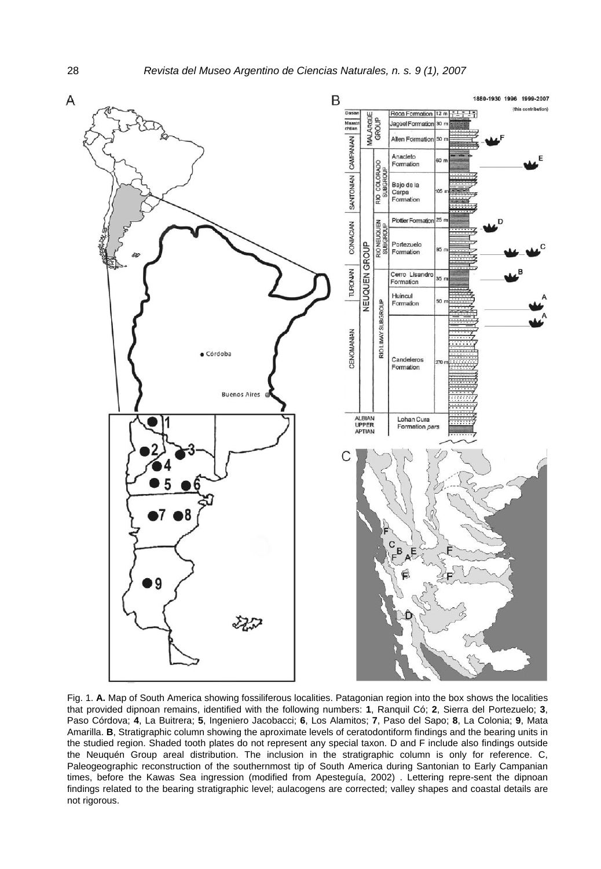

Fig. 1. **A.** Map of South America showing fossiliferous localities. Patagonian region into the box shows the localities that provided dipnoan remains, identified with the following numbers: **1**, Ranquil Có; **2**, Sierra del Portezuelo; **3**, Paso Córdova; **4**, La Buitrera; **5**, Ingeniero Jacobacci; **6**, Los Alamitos; **7**, Paso del Sapo; **8**, La Colonia; **9**, Mata Amarilla. **B**, Stratigraphic column showing the aproximate levels of ceratodontiform findings and the bearing units in the studied region. Shaded tooth plates do not represent any special taxon. D and F include also findings outside the Neuquén Group areal distribution. The inclusion in the stratigraphic column is only for reference. C, Paleogeographic reconstruction of the southernmost tip of South America during Santonian to Early Campanian times, before the Kawas Sea ingression (modified from Apesteguía, 2002) . Lettering repre-sent the dipnoan findings related to the bearing stratigraphic level; aulacogens are corrected; valley shapes and coastal details are not rigorous.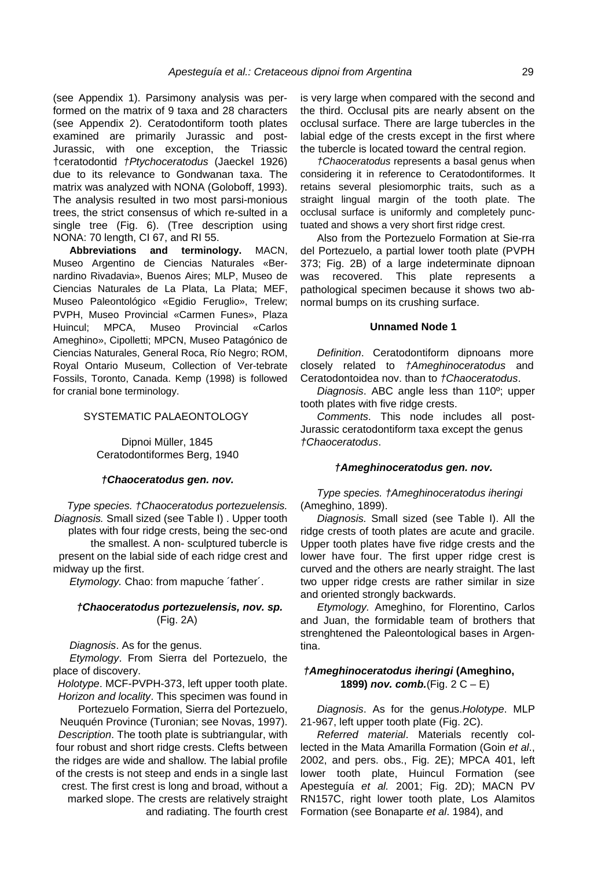(see Appendix 1). Parsimony analysis was performed on the matrix of 9 taxa and 28 characters (see Appendix 2). Ceratodontiform tooth plates examined are primarily Jurassic and post-Jurassic, with one exception, the Triassic †ceratodontid *†Ptychoceratodus* (Jaeckel 1926) due to its relevance to Gondwanan taxa. The matrix was analyzed with NONA (Goloboff, 1993). The analysis resulted in two most parsi-monious trees, the strict consensus of which re-sulted in a single tree (Fig. 6). (Tree description using NONA: 70 length, CI 67, and RI 55.

**Abbreviations and terminology.** MACN, Museo Argentino de Ciencias Naturales «Bernardino Rivadavia», Buenos Aires; MLP, Museo de Ciencias Naturales de La Plata, La Plata; MEF, Museo Paleontológico «Egidio Feruglio», Trelew; PVPH, Museo Provincial «Carmen Funes», Plaza Huincul; MPCA, Museo Provincial «Carlos Ameghino», Cipolletti; MPCN, Museo Patagónico de Ciencias Naturales, General Roca, Río Negro; ROM, Royal Ontario Museum, Collection of Ver-tebrate Fossils, Toronto, Canada. Kemp (1998) is followed for cranial bone terminology.

### SYSTEMATIC PALAEONTOLOGY

Dipnoi Müller, 1845 Ceratodontiformes Berg, 1940

### *†Chaoceratodus gen. nov.*

*Type species. †Chaoceratodus portezuelensis. Diagnosis.* Small sized (see Table I) . Upper tooth plates with four ridge crests, being the sec-ond the smallest. A non- sculptured tubercle is present on the labial side of each ridge crest and midway up the first.

*Etymology.* Chao: from mapuche ´father´.

### *†Chaoceratodus portezuelensis, nov. sp.* (Fig. 2A)

*Diagnosis*. As for the genus.

*Etymology*. From Sierra del Portezuelo, the place of discovery.

*Holotype*. MCF-PVPH-373, left upper tooth plate. *Horizon and locality*. This specimen was found in

Portezuelo Formation, Sierra del Portezuelo, Neuquén Province (Turonian; see Novas, 1997). *Description*. The tooth plate is subtriangular, with four robust and short ridge crests. Clefts between the ridges are wide and shallow. The labial profile of the crests is not steep and ends in a single last crest. The first crest is long and broad, without a marked slope. The crests are relatively straight and radiating. The fourth crest is very large when compared with the second and the third. Occlusal pits are nearly absent on the occlusal surface. There are large tubercles in the labial edge of the crests except in the first where the tubercle is located toward the central region.

*†Chaoceratodus* represents a basal genus when considering it in reference to Ceratodontiformes. It retains several plesiomorphic traits, such as a straight lingual margin of the tooth plate. The occlusal surface is uniformly and completely punctuated and shows a very short first ridge crest.

Also from the Portezuelo Formation at Sie-rra del Portezuelo, a partial lower tooth plate (PVPH 373; Fig. 2B) of a large indeterminate dipnoan was recovered. This plate represents a pathological specimen because it shows two abnormal bumps on its crushing surface.

### **Unnamed Node 1**

*Definition*. Ceratodontiform dipnoans more closely related to *†Ameghinoceratodus* and Ceratodontoidea nov. than to *†Chaoceratodus*.

*Diagnosis*. ABC angle less than 110º; upper tooth plates with five ridge crests.

*Comments*. This node includes all post-Jurassic ceratodontiform taxa except the genus *†Chaoceratodus*.

### *†Ameghinoceratodus gen. nov.*

*Type species. †Ameghinoceratodus iheringi* (Ameghino, 1899).

*Diagnosis.* Small sized (see Table I). All the ridge crests of tooth plates are acute and gracile. Upper tooth plates have five ridge crests and the lower have four. The first upper ridge crest is curved and the others are nearly straight. The last two upper ridge crests are rather similar in size and oriented strongly backwards.

*Etymology.* Ameghino, for Florentino, Carlos and Juan, the formidable team of brothers that strenghtened the Paleontological bases in Argentina.

# *†Ameghinoceratodus iheringi* **(Ameghino, 1899)** *nov. comb.*(Fig. 2 C – E)

*Diagnosis*. As for the genus.*Holotype*. MLP 21-967, left upper tooth plate (Fig. 2C).

*Referred material*. Materials recently collected in the Mata Amarilla Formation (Goin *et al*., 2002, and pers. obs., Fig. 2E); MPCA 401, left lower tooth plate, Huincul Formation (see Apesteguía *et al.* 2001; Fig. 2D); MACN PV RN157C, right lower tooth plate, Los Alamitos Formation (see Bonaparte *et al*. 1984), and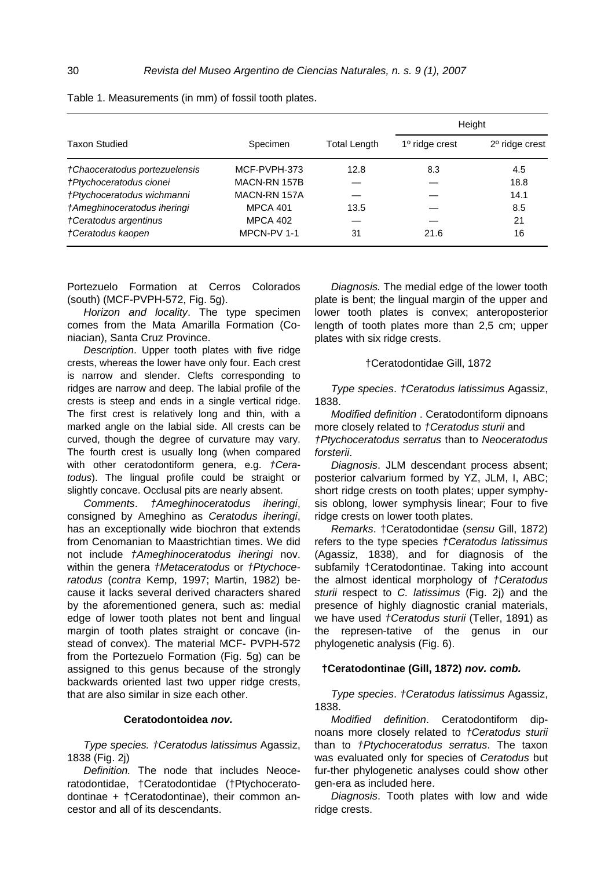|                               |                 |              | Height           |                  |  |  |  |  |  |
|-------------------------------|-----------------|--------------|------------------|------------------|--|--|--|--|--|
| <b>Taxon Studied</b>          | Specimen        | Total Length | $1°$ ridge crest | $2o$ ridge crest |  |  |  |  |  |
| †Chaoceratodus portezuelensis | MCF-PVPH-373    | 12.8         | 8.3              | 4.5              |  |  |  |  |  |
| †Ptychoceratodus cionei       | MACN-RN 157B    |              |                  | 18.8             |  |  |  |  |  |
| †Ptychoceratodus wichmanni    | MACN-RN 157A    |              |                  | 14.1             |  |  |  |  |  |
| †Ameghinoceratodus iheringi   | <b>MPCA 401</b> | 13.5         |                  | 8.5              |  |  |  |  |  |
| †Ceratodus argentinus         | <b>MPCA 402</b> |              |                  | 21               |  |  |  |  |  |
| †Ceratodus kaopen             | MPCN-PV 1-1     | 31           | 21.6             | 16               |  |  |  |  |  |

Table 1. Measurements (in mm) of fossil tooth plates.

Portezuelo Formation at Cerros Colorados (south) (MCF-PVPH-572, Fig. 5g).

*Horizon and locality*. The type specimen comes from the Mata Amarilla Formation (Coniacian), Santa Cruz Province.

*Description*. Upper tooth plates with five ridge crests, whereas the lower have only four. Each crest is narrow and slender. Clefts corresponding to ridges are narrow and deep. The labial profile of the crests is steep and ends in a single vertical ridge. The first crest is relatively long and thin, with a marked angle on the labial side. All crests can be curved, though the degree of curvature may vary. The fourth crest is usually long (when compared with other ceratodontiform genera, e.g. *†Ceratodus*). The lingual profile could be straight or slightly concave. Occlusal pits are nearly absent.

*Comments*. *†Ameghinoceratodus iheringi*, consigned by Ameghino as *Ceratodus iheringi*, has an exceptionally wide biochron that extends from Cenomanian to Maastrichtian times. We did not include *†Ameghinoceratodus iheringi* nov. within the genera *†Metaceratodus* or *†Ptychoceratodus* (*contra* Kemp, 1997; Martin, 1982) because it lacks several derived characters shared by the aforementioned genera, such as: medial edge of lower tooth plates not bent and lingual margin of tooth plates straight or concave (instead of convex). The material MCF- PVPH-572 from the Portezuelo Formation (Fig. 5g) can be assigned to this genus because of the strongly backwards oriented last two upper ridge crests, that are also similar in size each other.

*Type species. †Ceratodus latissimus* Agassiz, 1838 (Fig. 2j)

*Definition.* The node that includes Neoceratodontidae, †Ceratodontidae (†Ptychoceratodontinae + †Ceratodontinae), their common ancestor and all of its descendants.

*Diagnosis.* The medial edge of the lower tooth plate is bent; the lingual margin of the upper and lower tooth plates is convex; anteroposterior length of tooth plates more than 2,5 cm; upper plates with six ridge crests.

†Ceratodontidae Gill, 1872

*Type species*. *†Ceratodus latissimus* Agassiz, 1838.

*Modified definition* . Ceratodontiform dipnoans more closely related to *†Ceratodus sturii* and *†Ptychoceratodus serratus* than to *Neoceratodus forsterii*.

*Diagnosis*. JLM descendant process absent; posterior calvarium formed by YZ, JLM, I, ABC; short ridge crests on tooth plates; upper symphysis oblong, lower symphysis linear; Four to five ridge crests on lower tooth plates.

*Remarks*. †Ceratodontidae (*sensu* Gill, 1872) refers to the type species *†Ceratodus latissimus* (Agassiz, 1838), and for diagnosis of the subfamily †Ceratodontinae. Taking into account the almost identical morphology of *†Ceratodus sturii* respect to *C. latissimus* (Fig. 2j) and the presence of highly diagnostic cranial materials, we have used *†Ceratodus sturii* (Teller, 1891) as the represen-tative of the genus in our phylogenetic analysis (Fig. 6).

# **†Ceratodontinae (Gill, 1872)** *nov. comb.*

*Type species*. *†Ceratodus latissimus* Agassiz, 1838.

**Ceratodontoidea** *nov. Modified definition*. Ceratodontiform dipnoans more closely related to *†Ceratodus sturii* than to *†Ptychoceratodus serratus*. The taxon was evaluated only for species of *Ceratodus* but fur-ther phylogenetic analyses could show other gen-era as included here.

> *Diagnosis*. Tooth plates with low and wide ridge crests.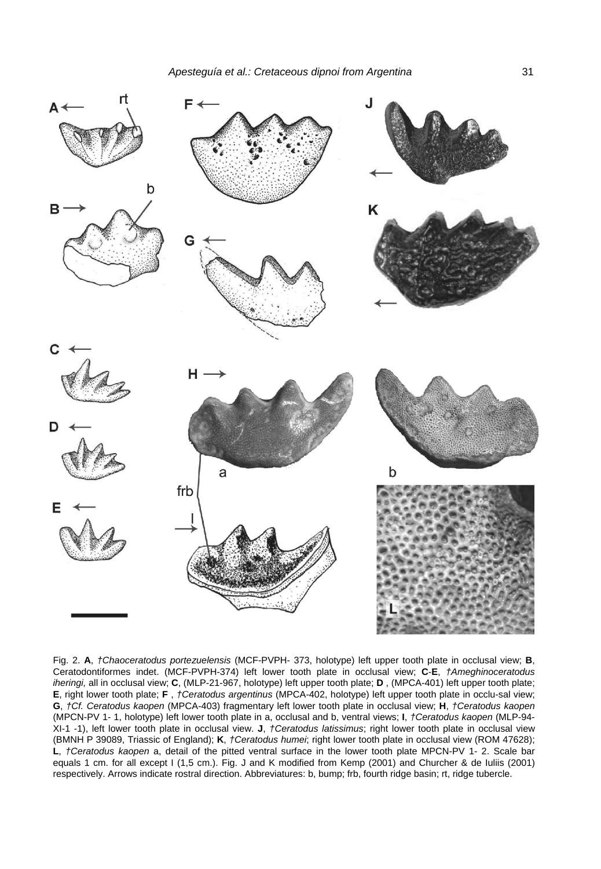

Fig. 2. **A**, *†Chaoceratodus portezuelensis* (MCF-PVPH- 373, holotype) left upper tooth plate in occlusal view; **B**, Ceratodontiformes indet. (MCF-PVPH-374) left lower tooth plate in occlusal view; **C**-**E**, *†Ameghinoceratodus iheringi,* all in occlusal view; **C**, (MLP-21-967, holotype) left upper tooth plate; **D** , (MPCA-401) left upper tooth plate; **E**, right lower tooth plate; **F** , *†Ceratodus argentinus* (MPCA-402, holotype) left upper tooth plate in occlu-sal view; **G**, *†Cf. Ceratodus kaopen* (MPCA-403) fragmentary left lower tooth plate in occlusal view; **H**, *†Ceratodus kaopen*  (MPCN-PV 1- 1, holotype) left lower tooth plate in a, occlusal and b, ventral views; **I**, *†Ceratodus kaopen* (MLP-94- XI-1 -1), left lower tooth plate in occlusal view. **J**, *†Ceratodus latissimus*; right lower tooth plate in occlusal view (BMNH P 39089, Triassic of England); **K**, *†Ceratodus humei*; right lower tooth plate in occlusal view (ROM 47628); **L**, *†Ceratodus kaopen* a, detail of the pitted ventral surface in the lower tooth plate MPCN-PV 1- 2. Scale bar equals 1 cm. for all except I (1,5 cm.). Fig. J and K modified from Kemp (2001) and Churcher & de Iuliis (2001) respectively. Arrows indicate rostral direction. Abbreviatures: b, bump; frb, fourth ridge basin; rt, ridge tubercle.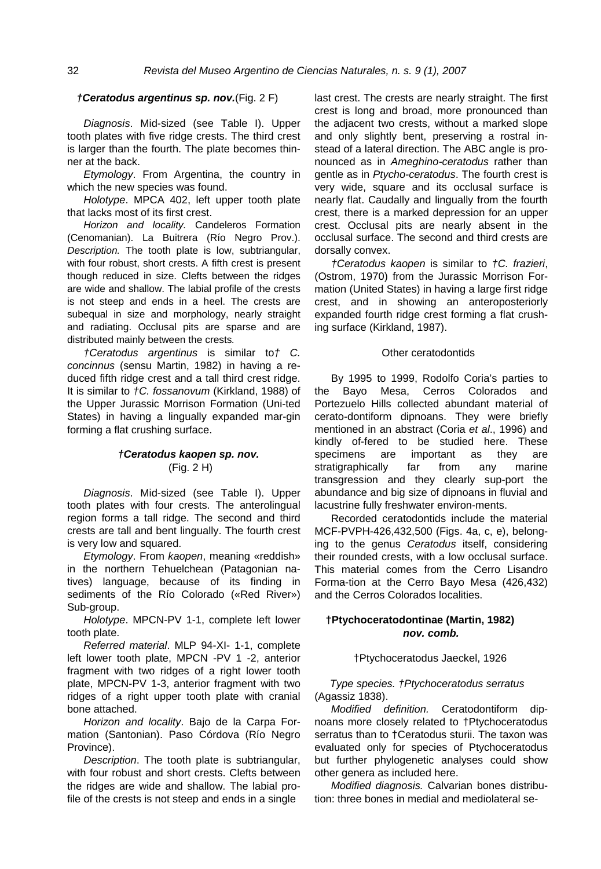# *†Ceratodus argentinus sp. nov.*(Fig. 2 F)

*Diagnosis*. Mid-sized (see Table I). Upper tooth plates with five ridge crests. The third crest is larger than the fourth. The plate becomes thinner at the back.

*Etymology*. From Argentina, the country in which the new species was found.

*Holotype*. MPCA 402, left upper tooth plate that lacks most of its first crest.

*Horizon and locality.* Candeleros Formation (Cenomanian). La Buitrera (Río Negro Prov.). *Description.* The tooth plate is low, subtriangular, with four robust, short crests. A fifth crest is present though reduced in size. Clefts between the ridges are wide and shallow. The labial profile of the crests is not steep and ends in a heel. The crests are subequal in size and morphology, nearly straight and radiating. Occlusal pits are sparse and are distributed mainly between the crests*.*

*†Ceratodus argentinus* is similar to*† C. concinnus* (sensu Martin, 1982) in having a reduced fifth ridge crest and a tall third crest ridge. It is similar to *†C. fossanovum* (Kirkland, 1988) of the Upper Jurassic Morrison Formation (Uni-ted States) in having a lingually expanded mar-gin forming a flat crushing surface.

# *†Ceratodus kaopen sp. nov.* (Fig. 2 H)

*Diagnosis*. Mid-sized (see Table I). Upper tooth plates with four crests. The anterolingual region forms a tall ridge. The second and third crests are tall and bent lingually. The fourth crest is very low and squared.

*Etymology*. From *kaopen*, meaning «reddish» in the northern Tehuelchean (Patagonian natives) language, because of its finding in sediments of the Río Colorado («Red River») Sub-group.

*Holotype*. MPCN-PV 1-1, complete left lower tooth plate.

*Referred material*. MLP 94-XI- 1-1, complete left lower tooth plate, MPCN -PV 1 -2, anterior fragment with two ridges of a right lower tooth plate, MPCN-PV 1-3, anterior fragment with two ridges of a right upper tooth plate with cranial bone attached.

*Horizon and locality*. Bajo de la Carpa Formation (Santonian). Paso Córdova (Río Negro Province).

*Description*. The tooth plate is subtriangular, with four robust and short crests. Clefts between the ridges are wide and shallow. The labial profile of the crests is not steep and ends in a single

last crest. The crests are nearly straight. The first crest is long and broad, more pronounced than the adjacent two crests, without a marked slope and only slightly bent, preserving a rostral instead of a lateral direction. The ABC angle is pronounced as in *Ameghino-ceratodus* rather than gentle as in *Ptycho-ceratodus*. The fourth crest is very wide, square and its occlusal surface is nearly flat. Caudally and lingually from the fourth crest, there is a marked depression for an upper crest. Occlusal pits are nearly absent in the occlusal surface. The second and third crests are dorsally convex.

*†Ceratodus kaopen* is similar to *†C. frazieri*, (Ostrom, 1970) from the Jurassic Morrison Formation (United States) in having a large first ridge crest, and in showing an anteroposteriorly expanded fourth ridge crest forming a flat crushing surface (Kirkland, 1987).

### Other ceratodontids

By 1995 to 1999, Rodolfo Coria's parties to the Bayo Mesa, Cerros Colorados and Portezuelo Hills collected abundant material of cerato-dontiform dipnoans. They were briefly mentioned in an abstract (Coria *et al*., 1996) and kindly of-fered to be studied here. These specimens are important as they are stratigraphically far from any marine transgression and they clearly sup-port the abundance and big size of dipnoans in fluvial and lacustrine fully freshwater environ-ments.

Recorded ceratodontids include the material MCF-PVPH-426,432,500 (Figs. 4a, c, e), belonging to the genus *Ceratodus* itself, considering their rounded crests, with a low occlusal surface. This material comes from the Cerro Lisandro Forma-tion at the Cerro Bayo Mesa (426,432) and the Cerros Colorados localities.

# **†Ptychoceratodontinae (Martin, 1982)**  *nov. comb.*

†Ptychoceratodus Jaeckel, 1926

*Type species. †Ptychoceratodus serratus* (Agassiz 1838).

*Modified definition.* Ceratodontiform dipnoans more closely related to †Ptychoceratodus serratus than to †Ceratodus sturii. The taxon was evaluated only for species of Ptychoceratodus but further phylogenetic analyses could show other genera as included here.

*Modified diagnosis.* Calvarian bones distribution: three bones in medial and mediolateral se-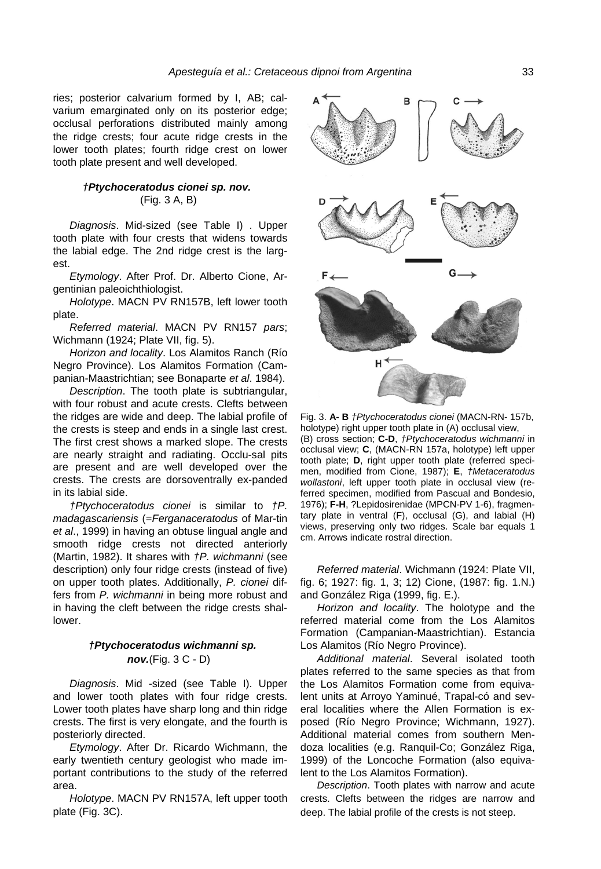ries; posterior calvarium formed by I, AB; calvarium emarginated only on its posterior edge; occlusal perforations distributed mainly among the ridge crests; four acute ridge crests in the lower tooth plates; fourth ridge crest on lower tooth plate present and well developed.

# *†Ptychoceratodus cionei sp. nov.* (Fig. 3 A, B)

*Diagnosis*. Mid-sized (see Table I) . Upper tooth plate with four crests that widens towards the labial edge. The 2nd ridge crest is the largest.

*Etymology*. After Prof. Dr. Alberto Cione, Argentinian paleoichthiologist.

*Holotype*. MACN PV RN157B, left lower tooth plate.

*Referred material*. MACN PV RN157 *pars*; Wichmann (1924; Plate VII, fig. 5).

*Horizon and locality*. Los Alamitos Ranch (Río Negro Province). Los Alamitos Formation (Campanian-Maastrichtian; see Bonaparte *et al*. 1984).

*Description*. The tooth plate is subtriangular, with four robust and acute crests. Clefts between the ridges are wide and deep. The labial profile of the crests is steep and ends in a single last crest. The first crest shows a marked slope. The crests are nearly straight and radiating. Occlu-sal pits are present and are well developed over the crests. The crests are dorsoventrally ex-panded in its labial side.

*†Ptychoceratodus cionei* is similar to *†P. madagascariensis* (=*Ferganaceratodus* of Mar-tin *et al*., 1999) in having an obtuse lingual angle and smooth ridge crests not directed anteriorly (Martin, 1982). It shares with *†P. wichmanni* (see description) only four ridge crests (instead of five) on upper tooth plates. Additionally, *P. cionei* differs from *P. wichmanni* in being more robust and in having the cleft between the ridge crests shallower.

*Diagnosis*. Mid -sized (see Table I). Upper and lower tooth plates with four ridge crests. Lower tooth plates have sharp long and thin ridge crests. The first is very elongate, and the fourth is posteriorly directed.

*Etymology*. After Dr. Ricardo Wichmann, the early twentieth century geologist who made important contributions to the study of the referred area

*Holotype*. MACN PV RN157A, left upper tooth plate (Fig. 3C).



Fig. 3. **A- B** *†Ptychoceratodus cionei* (MACN-RN- 157b, holotype) right upper tooth plate in (A) occlusal view, (B) cross section; **C-D**, *†Ptychoceratodus wichmanni* in occlusal view; **C**, (MACN-RN 157a, holotype) left upper tooth plate; **D**, right upper tooth plate (referred specimen, modified from Cione, 1987); **E**, *†Metaceratodus wollastoni*, left upper tooth plate in occlusal view (referred specimen, modified from Pascual and Bondesio, 1976); **F-H**, ?Lepidosirenidae (MPCN-PV 1-6), fragmentary plate in ventral (F), occlusal (G), and labial (H) views, preserving only two ridges. Scale bar equals 1 cm. Arrows indicate rostral direction.

*Referred material*. Wichmann (1924: Plate VII, fig. 6; 1927: fig. 1, 3; 12) Cione, (1987: fig. 1.N.) and González Riga (1999, fig. E.).

*Horizon and locality*. The holotype and the referred material come from the Los Alamitos Formation (Campanian-Maastrichtian). Estancia *†Ptychoceratodus wichmanni sp.* Los Alamitos (Río Negro Province).

*nov.*(Fig. 3 C - D) *Additional material*. Several isolated tooth plates referred to the same species as that from the Los Alamitos Formation come from equivalent units at Arroyo Yaminué, Trapal-có and several localities where the Allen Formation is exposed (Río Negro Province; Wichmann, 1927). Additional material comes from southern Mendoza localities (e.g. Ranquil-Co; González Riga, 1999) of the Loncoche Formation (also equivalent to the Los Alamitos Formation).

> a *Description*. Tooth plates with narrow and acute crests. Clefts between the ridges are narrow and deep. The labial profile of the crests is not steep.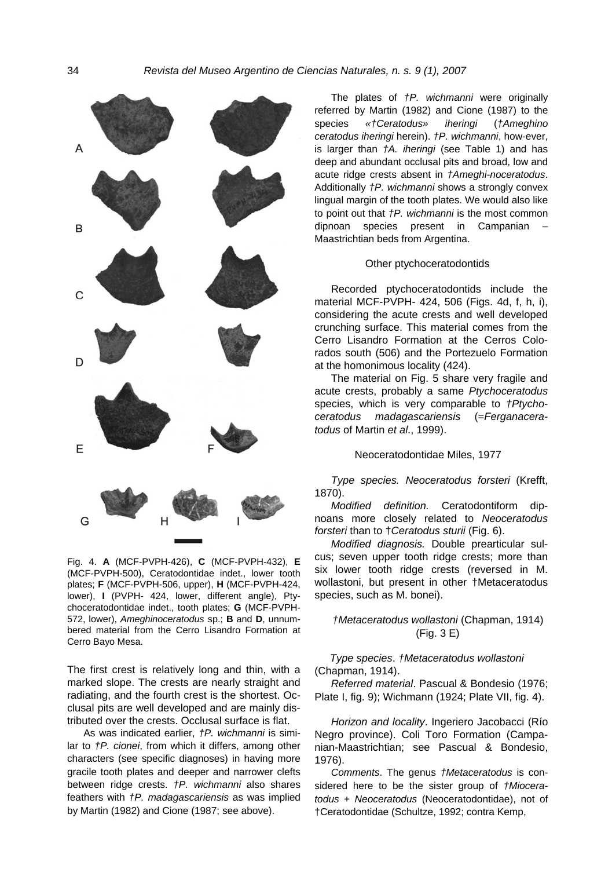

Fig. 4. **A** (MCF-PVPH-426), **C** (MCF-PVPH-432), **E** (MCF-PVPH-500), Ceratodontidae indet., lower tooth plates; **F** (MCF-PVPH-506, upper), **H** (MCF-PVPH-424, lower), **I** (PVPH- 424, lower, different angle), Ptychoceratodontidae indet., tooth plates; **G** (MCF-PVPH-572, lower), *Ameghinoceratodus* sp.; **B** and **D**, unnumbered material from the Cerro Lisandro Formation at Cerro Bayo Mesa.

The first crest is relatively long and thin, with a marked slope. The crests are nearly straight and radiating, and the fourth crest is the shortest. Occlusal pits are well developed and are mainly distributed over the crests. Occlusal surface is flat.

As was indicated earlier, *†P. wichmanni* is similar to *†P. cionei*, from which it differs, among other characters (see specific diagnoses) in having more gracile tooth plates and deeper and narrower clefts between ridge crests. *†P. wichmanni* also shares feathers with *†P. madagascariensis* as was implied by Martin (1982) and Cione (1987; see above).

The plates of *†P. wichmanni* were originally referred by Martin (1982) and Cione (1987) to the species *«†Ceratodus» iheringi* (*†Ameghino ceratodus iheringi* herein). *†P. wichmanni*, how-ever, is larger than *†A. iheringi* (see Table 1) and has deep and abundant occlusal pits and broad, low and acute ridge crests absent in *†Ameghi-noceratodus*. Additionally *†P. wichmanni* shows a strongly convex lingual margin of the tooth plates. We would also like to point out that *†P. wichmanni* is the most common dipnoan species present in Campanian – Maastrichtian beds from Argentina.

### Other ptychoceratodontids

Recorded ptychoceratodontids include the material MCF-PVPH- 424, 506 (Figs. 4d, f, h, i), considering the acute crests and well developed crunching surface. This material comes from the Cerro Lisandro Formation at the Cerros Colorados south (506) and the Portezuelo Formation at the homonimous locality (424).

The material on Fig. 5 share very fragile and acute crests, probably a same *Ptychoceratodus* species, which is very comparable to *†Ptychoceratodus madagascariensis* (=*Ferganaceratodus* of Martin *et al*., 1999).

### Neoceratodontidae Miles, 1977

*Type species. Neoceratodus forsteri* (Krefft, 1870).

*Modified definition.* Ceratodontiform dipnoans more closely related to *Neoceratodus forsteri* than to †*Ceratodus sturii* (Fig. 6).

*Modified diagnosis.* Double prearticular sulcus; seven upper tooth ridge crests; more than six lower tooth ridge crests (reversed in M. wollastoni, but present in other †Metaceratodus species, such as M. bonei).

# *†Metaceratodus wollastoni* (Chapman, 1914) (Fig. 3 E)

*Type species*. *†Metaceratodus wollastoni* (Chapman, 1914).

*Referred material*. Pascual & Bondesio (1976; Plate I, fig. 9); Wichmann (1924; Plate VII, fig. 4).

Horizon and locality. Ingeriero Jacobacci (Río Negro province). Coli Toro Formation (Campanian-Maastrichtian; see Pascual & Bondesio, 1976).

*Comments*. The genus *†Metaceratodus* is considered here to be the sister group of *†Mioceratodus* + *Neoceratodus* (Neoceratodontidae), not of †Ceratodontidae (Schultze, 1992; contra Kemp,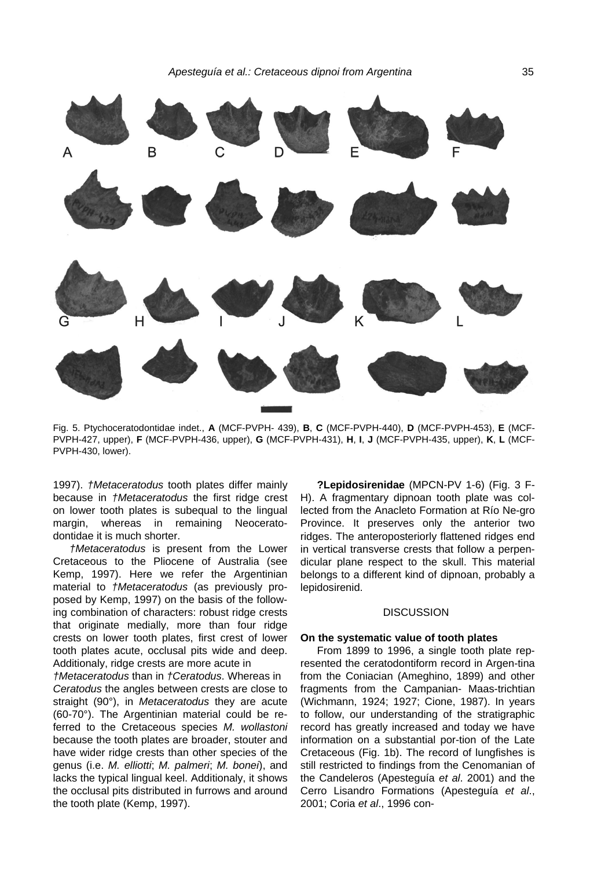

Fig. 5. Ptychoceratodontidae indet., **A** (MCF-PVPH- 439), **B**, **C** (MCF-PVPH-440), **D** (MCF-PVPH-453), **E** (MCF-PVPH-427, upper), **F** (MCF-PVPH-436, upper), **G** (MCF-PVPH-431), **H**, **I**, **J** (MCF-PVPH-435, upper), **K**, **L** (MCF-PVPH-430, lower).

1997). *†Metaceratodus* tooth plates differ mainly because in *†Metaceratodus* the first ridge crest on lower tooth plates is subequal to the lingual margin, whereas in remaining Neoceratodontidae it is much shorter.

*†Metaceratodus* is present from the Lower Cretaceous to the Pliocene of Australia (see Kemp, 1997). Here we refer the Argentinian material to *†Metaceratodus* (as previously proposed by Kemp, 1997) on the basis of the following combination of characters: robust ridge crests that originate medially, more than four ridge crests on lower tooth plates, first crest of lower tooth plates acute, occlusal pits wide and deep. Additionaly, ridge crests are more acute in

*†Metaceratodus* than in *†Ceratodus*. Whereas in *Ceratodus* the angles between crests are close to straight (90°), in *Metaceratodus* they are acute (60-70°). The Argentinian material could be referred to the Cretaceous species *M. wollastoni* because the tooth plates are broader, stouter and have wider ridge crests than other species of the genus (i.e. *M. elliotti*; *M. palmeri*; *M. bonei*), and lacks the typical lingual keel. Additionaly, it shows the occlusal pits distributed in furrows and around the tooth plate (Kemp, 1997).

**?Lepidosirenidae** (MPCN-PV 1-6) (Fig. 3 F-H). A fragmentary dipnoan tooth plate was collected from the Anacleto Formation at Río Ne-gro Province. It preserves only the anterior two ridges. The anteroposteriorly flattened ridges end in vertical transverse crests that follow a perpendicular plane respect to the skull. This material belongs to a different kind of dipnoan, probably a lepidosirenid.

## **DISCUSSION**

### **On the systematic value of tooth plates**

From 1899 to 1996, a single tooth plate represented the ceratodontiform record in Argen-tina from the Coniacian (Ameghino, 1899) and other fragments from the Campanian- Maas-trichtian (Wichmann, 1924; 1927; Cione, 1987). In years to follow, our understanding of the stratigraphic record has greatly increased and today we have information on a substantial por-tion of the Late Cretaceous (Fig. 1b). The record of lungfishes is still restricted to findings from the Cenomanian of the Candeleros (Apesteguía *et al*. 2001) and the Cerro Lisandro Formations (Apesteguía *et al*., 2001; Coria *et al*., 1996 con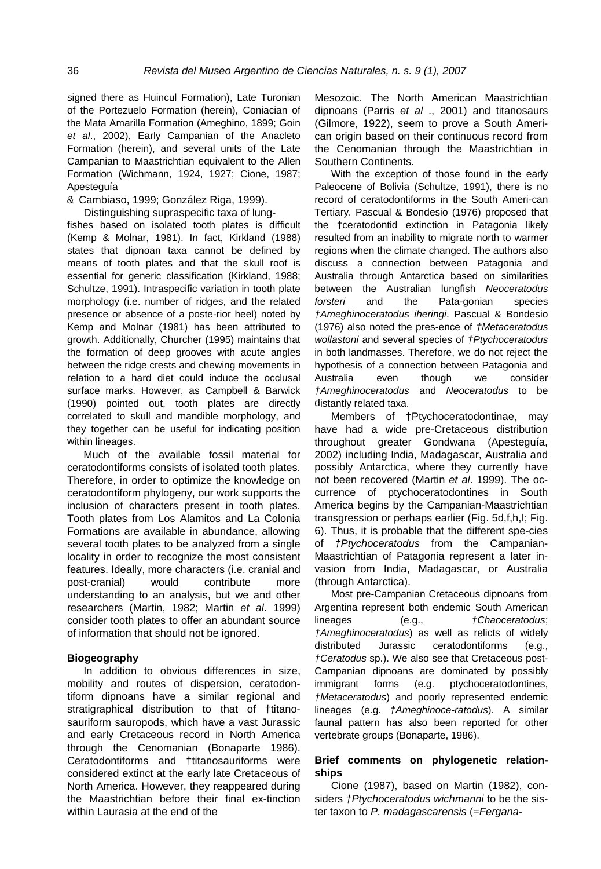signed there as Huincul Formation), Late Turonian of the Portezuelo Formation (herein), Coniacian of the Mata Amarilla Formation (Ameghino, 1899; Goin *et al*., 2002), Early Campanian of the Anacleto Formation (herein), and several units of the Late Campanian to Maastrichtian equivalent to the Allen Formation (Wichmann, 1924, 1927; Cione, 1987; Apesteguía

& Cambiaso, 1999; González Riga, 1999).

Distinguishing supraspecific taxa of lungfishes based on isolated tooth plates is difficult (Kemp & Molnar, 1981). In fact, Kirkland (1988) states that dipnoan taxa cannot be defined by means of tooth plates and that the skull roof is essential for generic classification (Kirkland, 1988; Schultze, 1991). Intraspecific variation in tooth plate morphology (i.e. number of ridges, and the related presence or absence of a poste-rior heel) noted by Kemp and Molnar (1981) has been attributed to growth. Additionally, Churcher (1995) maintains that the formation of deep grooves with acute angles between the ridge crests and chewing movements in relation to a hard diet could induce the occlusal surface marks. However, as Campbell & Barwick (1990) pointed out, tooth plates are directly correlated to skull and mandible morphology, and they together can be useful for indicating position within lineages.

Much of the available fossil material for ceratodontiforms consists of isolated tooth plates. Therefore, in order to optimize the knowledge on ceratodontiform phylogeny, our work supports the inclusion of characters present in tooth plates. Tooth plates from Los Alamitos and La Colonia Formations are available in abundance, allowing several tooth plates to be analyzed from a single locality in order to recognize the most consistent features. Ideally, more characters (i.e. cranial and post-cranial) would contribute more understanding to an analysis, but we and other researchers (Martin, 1982; Martin *et al*. 1999) consider tooth plates to offer an abundant source of information that should not be ignored.

# **Biogeography**

In addition to obvious differences in size, mobility and routes of dispersion, ceratodontiform dipnoans have a similar regional and stratigraphical distribution to that of †titanosauriform sauropods, which have a vast Jurassic and early Cretaceous record in North America through the Cenomanian (Bonaparte 1986). Ceratodontiforms and †titanosauriforms were considered extinct at the early late Cretaceous of North America. However, they reappeared during the Maastrichtian before their final ex-tinction within Laurasia at the end of the

Mesozoic. The North American Maastrichtian dipnoans (Parris *et al* ., 2001) and titanosaurs (Gilmore, 1922), seem to prove a South American origin based on their continuous record from the Cenomanian through the Maastrichtian in Southern Continents.

With the exception of those found in the early Paleocene of Bolivia (Schultze, 1991), there is no record of ceratodontiforms in the South Ameri-can Tertiary. Pascual & Bondesio (1976) proposed that the †ceratodontid extinction in Patagonia likely resulted from an inability to migrate north to warmer regions when the climate changed. The authors also discuss a connection between Patagonia and Australia through Antarctica based on similarities between the Australian lungfish *Neoceratodus forsteri* and the Pata-gonian species *†Ameghinoceratodus iheringi*. Pascual & Bondesio (1976) also noted the pres-ence of *†Metaceratodus wollastoni* and several species of *†Ptychoceratodus* in both landmasses. Therefore, we do not reject the hypothesis of a connection between Patagonia and Australia even though we consider *†Ameghinoceratodus* and *Neoceratodus* to be distantly related taxa.

Members of †Ptychoceratodontinae, may have had a wide pre-Cretaceous distribution throughout greater Gondwana (Apesteguía, 2002) including India, Madagascar, Australia and possibly Antarctica, where they currently have not been recovered (Martin *et al*. 1999). The occurrence of ptychoceratodontines in South America begins by the Campanian-Maastrichtian transgression or perhaps earlier (Fig. 5d,f,h,I; Fig. 6). Thus, it is probable that the different spe-cies of *†Ptychoceratodus* from the Campanian-Maastrichtian of Patagonia represent a later invasion from India, Madagascar, or Australia (through Antarctica).

Most pre-Campanian Cretaceous dipnoans from Argentina represent both endemic South American lineages (e.g., *†Chaoceratodus*; *†Ameghinoceratodus*) as well as relicts of widely distributed Jurassic ceratodontiforms (e.g., *†Ceratodus* sp.). We also see that Cretaceous post-Campanian dipnoans are dominated by possibly immigrant forms (e.g. ptychoceratodontines, *†Metaceratodus*) and poorly represented endemic lineages (e.g. *†Ameghinoce-ratodus*). A similar faunal pattern has also been reported for other vertebrate groups (Bonaparte, 1986).

# **Brief comments on phylogenetic relationships**

Cione (1987), based on Martin (1982), considers *†Ptychoceratodus wichmanni* to be the sister taxon to *P. madagascarensis* (=*Fergana-*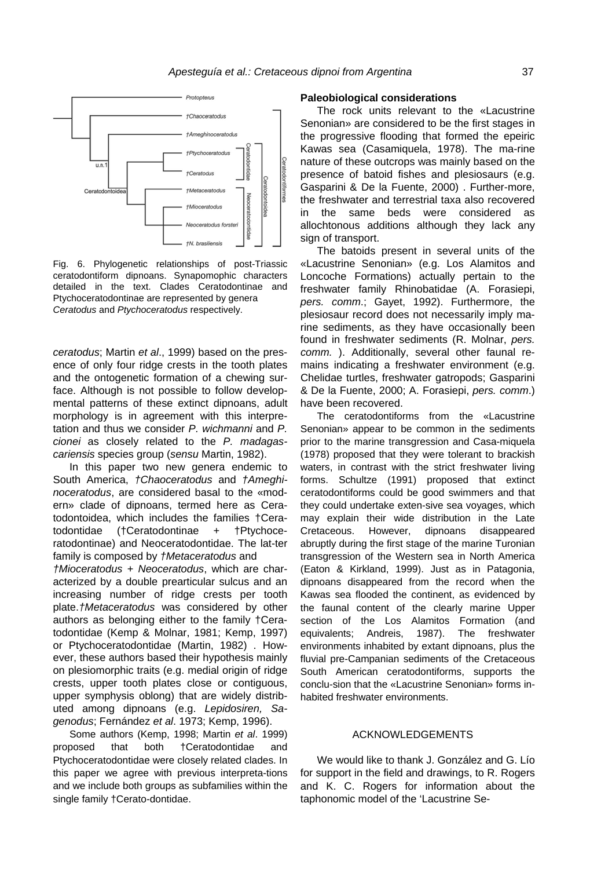

Fig. 6. Phylogenetic relationships of post-Triassic ceratodontiform dipnoans. Synapomophic characters detailed in the text. Clades Ceratodontinae and Ptychoceratodontinae are represented by genera *Ceratodus* and *Ptychoceratodus* respectively.

*ceratodus*; Martin *et al*., 1999) based on the presence of only four ridge crests in the tooth plates and the ontogenetic formation of a chewing surface. Although is not possible to follow developmental patterns of these extinct dipnoans, adult morphology is in agreement with this interpretation and thus we consider *P. wichmanni* and *P. cionei* as closely related to the *P. madagasariensis* species group (*sensu* Martin, 1982). *c*

In this paper two new genera endemic to South America, *†Chaoceratodus* and *†Ameghinoceratodus*, are considered basal to the «modern» clade of dipnoans, termed here as Ceratodontoidea, which includes the families †Ceratodontidae (†Ceratodontinae + †Ptychoceratodontinae) and Neoceratodontidae. The lat-ter family is composed by *†Metaceratodus* and

*†Mioceratodus* + *Neoceratodus*, which are characterized by a double prearticular sulcus and an increasing number of ridge crests per tooth plate.*†Metaceratodus* was considered by other authors as belonging either to the family †Ceratodontidae (Kemp & Molnar, 1981; Kemp, 1997) or Ptychoceratodontidae (Martin, 1982) . However, these authors based their hypothesis mainly on plesiomorphic traits (e.g. medial origin of ridge crests, upper tooth plates close or contiguous, upper symphysis oblong) that are widely distributed among dipnoans (e.g. *Lepidosiren, Sagenodus*; Fernández *et al*. 1973; Kemp, 1996).

Some authors (Kemp, 1998; Martin *et al*. 1999) proposed that both †Ceratodontidae and Ptychoceratodontidae were closely related clades. In this paper we agree with previous interpreta-tions and we include both groups as subfamilies within the single family †Cerato-dontidae.

### **Paleobiological considerations**

The rock units relevant to the «Lacustrine Senonian» are considered to be the first stages in the progressive flooding that formed the epeiric Kawas sea (Casamiquela, 1978). The ma-rine nature of these outcrops was mainly based on the presence of batoid fishes and plesiosaurs (e.g. Gasparini & De la Fuente, 2000) . Further-more, the freshwater and terrestrial taxa also recovered in the same beds were considered as allochtonous additions although they lack any sign of transport.

The batoids present in several units of the «Lacustrine Senonian» (e.g. Los Alamitos and Loncoche Formations) actually pertain to the freshwater family Rhinobatidae (A. Forasiepi, *pers. comm*.; Gayet, 1992). Furthermore, the plesiosaur record does not necessarily imply marine sediments, as they have occasionally been found in freshwater sediments (R. Molnar, *pers. comm.* ). Additionally, several other faunal remains indicating a freshwater environment (e.g. Chelidae turtles, freshwater gatropods; Gasparini & De la Fuente, 2000; A. Forasiepi, *pers. comm*.) have been recovered.

The ceratodontiforms from the «Lacustrine Senonian» appear to be common in the sediments prior to the marine transgression and Casa-miquela (1978) proposed that they were tolerant to brackish waters, in contrast with the strict freshwater living forms. Schultze (1991) proposed that extinct ceratodontiforms could be good swimmers and that they could undertake exten-sive sea voyages, which may explain their wide distribution in the Late Cretaceous. However, dipnoans disappeared abruptly during the first stage of the marine Turonian transgression of the Western sea in North America (Eaton & Kirkland, 1999). Just as in Patagonia, dipnoans disappeared from the record when the Kawas sea flooded the continent, as evidenced by the faunal content of the clearly marine Upper section of the Los Alamitos Formation (and equivalents; Andreis, 1987). The freshwater environments inhabited by extant dipnoans, plus the fluvial pre-Campanian sediments of the Cretaceous South American ceratodontiforms, supports the conclu-sion that the «Lacustrine Senonian» forms inhabited freshwater environments.

# ACKNOWLEDGEMENTS

We would like to thank J. González and G. Lío for support in the field and drawings, to R. Rogers and K. C. Rogers for information about the taphonomic model of the 'Lacustrine Se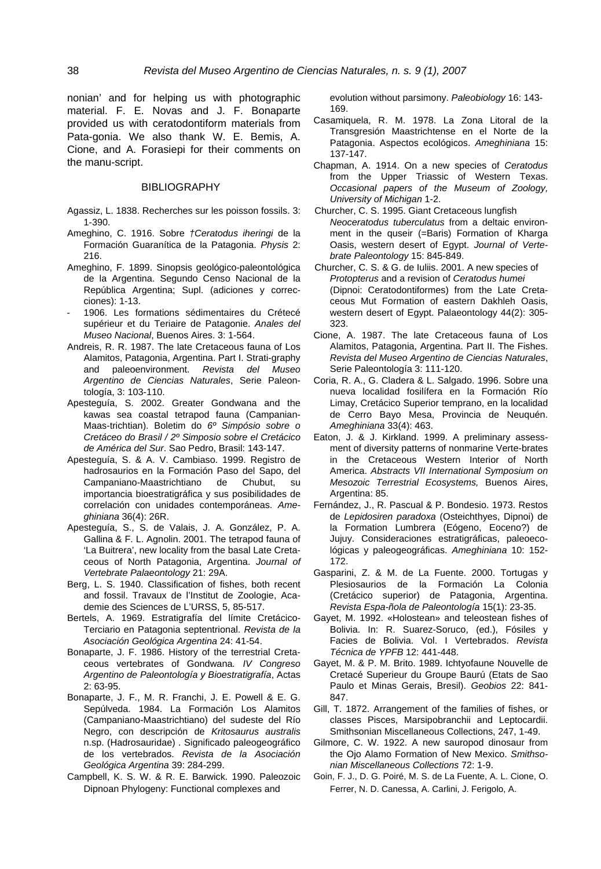nonian' and for helping us with photographic material. F. E. Novas and J. F. Bonaparte provided us with ceratodontiform materials from Pata-gonia. We also thank W. E. Bemis, A. Cione, and A. Forasiepi for their comments on the manu-script.

### BIBLIOGRAPHY

- Agassiz, L. 1838. Recherches sur les poisson fossils. 3: 1-390.
- Ameghino, C. 1916. Sobre *†Ceratodus iheringi* de la Formación Guaranítica de la Patagonia. *Physis* 2: 216.
- Ameghino, F. 1899. Sinopsis geológico-paleontológica de la Argentina. Segundo Censo Nacional de la República Argentina; Supl. (adiciones y correcciones): 1-13.
- 1906. Les formations sédimentaires du Crétecé supérieur et du Teriaire de Patagonie. *Anales del Museo Nacional*, Buenos Aires. 3: 1-564.
- Andreis, R. R. 1987. The late Cretaceous fauna of Los Alamitos, Patagonia, Argentina. Part I. Strati-graphy and paleoenvironment. *Revista del Museo Argentino de Ciencias Naturales*, Serie Paleontología, 3: 103-110.
- Apesteguía, S. 2002. Greater Gondwana and the kawas sea coastal tetrapod fauna (Campanian-Maas-trichtian). Boletim do *6º Simpósio sobre o Cretáceo do Brasil / 2º Simposio sobre el Cretácico de América del Sur*. Sao Pedro, Brasil: 143-147.
- Apesteguía, S. & A. V. Cambiaso. 1999. Registro de hadrosaurios en la Formación Paso del Sapo, del Campaniano-Maastrichtiano de Chubut, su importancia bioestratigráfica y sus posibilidades de correlación con unidades contemporáneas. *Ameghiniana* 36(4): 26R.
- Apesteguía, S., S. de Valais, J. A. González, P. A. Gallina & F. L. Agnolin. 2001. The tetrapod fauna of 'La Buitrera', new locality from the basal Late Cretaceous of North Patagonia, Argentina. *Journal of Vertebrate Palaeontology* 21: 29A.
- Berg, L. S. 1940. Classification of fishes, both recent and fossil. Travaux de l'Institut de Zoologie, Academie des Sciences de L'URSS, 5, 85-517.
- Bertels, A. 1969. Estratigrafía del límite Cretácico-Terciario en Patagonia septentrional. *Revista de la Asociación Geológica Argentina* 24: 41-54.
- Bonaparte, J. F. 1986. History of the terrestrial Cretaceous vertebrates of Gondwana*. IV Congreso Argentino de Paleontología y Bioestratigrafía*, Actas 2: 63-95.
- Bonaparte, J. F., M. R. Franchi, J. E. Powell & E. G. Sepúlveda. 1984. La Formación Los Alamitos (Campaniano-Maastrichtiano) del sudeste del Río Negro, con descripción de *Kritosaurus australis* n.sp. (Hadrosauridae) . Significado paleogeográfico de los vertebrados. *Revista de la Asociación Geológica Argentina* 39: 284-299.
- Campbell, K. S. W. & R. E. Barwick. 1990. Paleozoic Dipnoan Phylogeny: Functional complexes and

evolution without parsimony. *Paleobiology* 16: 143- 169.

- Casamiquela, R. M. 1978. La Zona Litoral de la Transgresión Maastrichtense en el Norte de la Patagonia. Aspectos ecológicos. *Ameghiniana* 15: 137-147.
- Chapman, A. 1914. On a new species of *Ceratodus* from the Upper Triassic of Western Texas. *Occasional papers of the Museum of Zoology, University of Michigan* 1-2.
- Churcher, C. S. 1995. Giant Cretaceous lungfish *Neoceratodus tuberculatus* from a deltaic environment in the quseir (=Baris) Formation of Kharga Oasis, western desert of Egypt. *Journal of Vertebrate Paleontology* 15: 845-849.
- Churcher, C. S. & G. de Iuliis. 2001. A new species of *Protopterus* and a revision of *Ceratodus humei* (Dipnoi: Ceratodontiformes) from the Late Cretaceous Mut Formation of eastern Dakhleh Oasis, western desert of Egypt. Palaeontology 44(2): 305- 323.
- Cione, A. 1987. The late Cretaceous fauna of Los Alamitos, Patagonia, Argentina. Part II. The Fishes. *Revista del Museo Argentino de Ciencias Naturales*, Serie Paleontología 3: 111-120.
- Coria, R. A., G. Cladera & L. Salgado. 1996. Sobre una nueva localidad fosilífera en la Formación Río Limay, Cretácico Superior temprano, en la localidad de Cerro Bayo Mesa, Provincia de Neuquén. *Ameghiniana* 33(4): 463.
- Eaton, J. & J. Kirkland. 1999. A preliminary assessment of diversity patterns of nonmarine Verte-brates in the Cretaceous Western Interior of North America. *Abstracts VII International Symposium on Mesozoic Terrestrial Ecosystems,* Buenos Aires, Argentina: 85.
- Fernández, J., R. Pascual & P. Bondesio. 1973. Restos de *Lepidosiren paradoxa* (Osteichthyes, Dipnoi) de la Formation Lumbrera (Eógeno, Eoceno?) de Jujuy. Consideraciones estratigráficas, paleoecológicas y paleogeográficas. *Ameghiniana* 10: 152- 172.
- Gasparini, Z. & M. de La Fuente. 2000. Tortugas y Plesiosaurios de la Formación La Colonia (Cretácico superior) de Patagonia, Argentina. *Revista Espa-ñola de Paleontología* 15(1): 23-35.
- Gayet, M. 1992. «Holostean» and teleostean fishes of Bolivia. In: R. Suarez-Soruco, (ed.), Fósiles y Facies de Bolivia. Vol. I Vertebrados. *Revista Técnica de YPFB* 12: 441-448.
- Gayet, M. & P. M. Brito. 1989. Ichtyofaune Nouvelle de Cretacé Superieur du Groupe Baurú (Etats de Sao Paulo et Minas Gerais, Bresil). *Geobios* 22: 841- 847.
- Gill, T. 1872. Arrangement of the families of fishes, or classes Pisces, Marsipobranchii and Leptocardii. Smithsonian Miscellaneous Collections, 247, 1-49.
- Gilmore, C. W. 1922. A new sauropod dinosaur from the Ojo Alamo Formation of New Mexico. *Smithsonian Miscellaneous Collections* 72: 1-9.
- Goin, F. J., D. G. Poiré, M. S. de La Fuente, A. L. Cione, O. Ferrer, N. D. Canessa, A. Carlini, J. Ferigolo, A.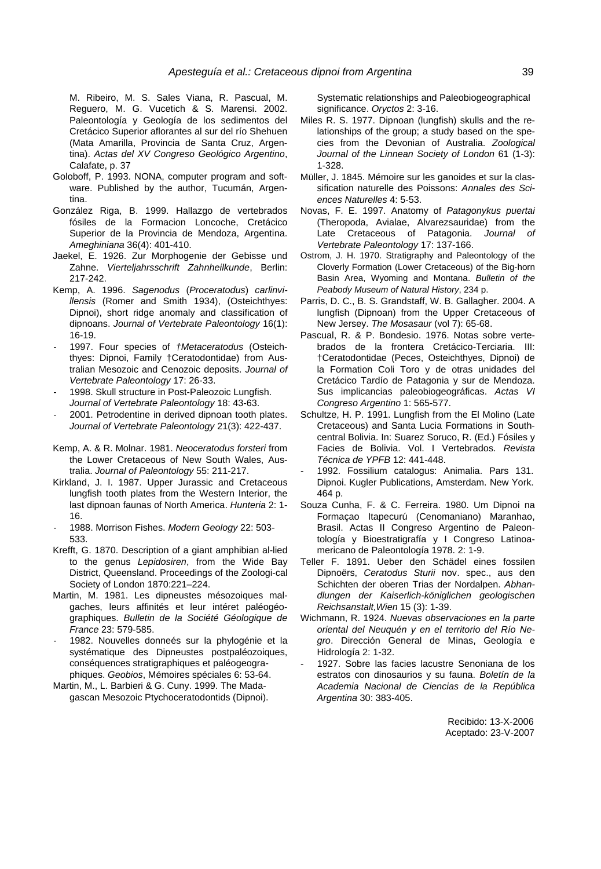M. Ribeiro, M. S. Sales Viana, R. Pascual, M. Reguero, M. G. Vucetich & S. Marensi. 2002. Paleontología y Geología de los sedimentos del Cretácico Superior aflorantes al sur del río Shehuen (Mata Amarilla, Provincia de Santa Cruz, Argentina). *Actas del XV Congreso Geológico Argentino*, Calafate, p. 37

- Goloboff, P. 1993. NONA, computer program and software. Published by the author, Tucumán, Argentina.
- González Riga, B. 1999. Hallazgo de vertebrados fósiles de la Formacion Loncoche, Cretácico Superior de la Provincia de Mendoza, Argentina. *Ameghiniana* 36(4): 401-410.
- Jaekel, E. 1926. Zur Morphogenie der Gebisse und Zahne. *Vierteljahrsschrift Zahnheilkunde*, Berlin: 217-242.
- Kemp, A. 1996. *Sagenodus* (*Proceratodus*) *carlinvillensis* (Romer and Smith 1934), (Osteichthyes: Dipnoi), short ridge anomaly and classification of dipnoans. *Journal of Vertebrate Paleontology* 16(1): 16-19.
- 1997. Four species of *†Metaceratodus* (Osteichthyes: Dipnoi, Family †Ceratodontidae) from Australian Mesozoic and Cenozoic deposits. *Journal of Vertebrate Paleontology* 17: 26-33.
- 1998. Skull structure in Post-Paleozoic Lungfish. *Journal of Vertebrate Paleontology* 18: 43-63.
- 2001. Petrodentine in derived dipnoan tooth plates. *Journal of Vertebrate Paleontology* 21(3): 422-437.
- Kemp, A. & R. Molnar. 1981. *Neoceratodus forsteri* from the Lower Cretaceous of New South Wales, Australia. *Journal of Paleontology* 55: 211-217.
- Kirkland, J. I. 1987. Upper Jurassic and Cretaceous lungfish tooth plates from the Western Interior, the last dipnoan faunas of North America. *Hunteria* 2: 1- 16.
- 1988. Morrison Fishes. *Modern Geology* 22: 503- 533.
- Krefft, G. 1870. Description of a giant amphibian al-lied to the genus *Lepidosiren*, from the Wide Bay District, Queensland. Proceedings of the Zoologi-cal Society of London 1870:221–224.
- Martin, M. 1981. Les dipneustes mésozoiques malgaches, leurs affinités et leur intéret paléogéographiques. *Bulletin de la Société Géologique de France* 23: 579-585.
- 1982. Nouvelles donneés sur la phylogénie et la systématique des Dipneustes postpaléozoiques, conséquences stratigraphiques et paléogeographiques. *Geobios*, Mémoires spéciales 6: 53-64.
- Martin, M., L. Barbieri & G. Cuny. 1999. The Madagascan Mesozoic Ptychoceratodontids (Dipnoi).

Systematic relationships and Paleobiogeographical significance. *Oryctos* 2: 3-16.

- Miles R. S. 1977. Dipnoan (lungfish) skulls and the relationships of the group; a study based on the species from the Devonian of Australia. *Zoological Journal of the Linnean Society of London* 61 (1-3): 1-328.
- Müller, J. 1845. Mémoire sur les ganoides et sur la classification naturelle des Poissons: *Annales des Sciences Naturelles* 4: 5-53.
- Novas, F. E. 1997. Anatomy of *Patagonykus puertai* (Theropoda, Avialae, Alvarezsauridae) from the Late Cretaceous of Patagonia. *Journal of Vertebrate Paleontology* 17: 137-166.
- Ostrom, J. H. 1970. Stratigraphy and Paleontology of the Cloverly Formation (Lower Cretaceous) of the Big-horn Basin Area, Wyoming and Montana. *Bulletin of the Peabody Museum of Natural History*, 234 p.
- Parris, D. C., B. S. Grandstaff, W. B. Gallagher. 2004. A lungfish (Dipnoan) from the Upper Cretaceous of New Jersey. *The Mosasaur* (vol 7): 65-68.
- Pascual, R. & P. Bondesio. 1976. Notas sobre vertebrados de la frontera Cretácico-Terciaria. III: †Ceratodontidae (Peces, Osteichthyes, Dipnoi) de la Formation Coli Toro y de otras unidades del Cretácico Tardío de Patagonia y sur de Mendoza. Sus implicancias paleobiogeográficas. *Actas VI Congreso Argentino* 1: 565-577.
- Schultze, H. P. 1991. Lungfish from the El Molino (Late Cretaceous) and Santa Lucia Formations in Southcentral Bolivia. In: Suarez Soruco, R. (Ed.) Fósiles y Facies de Bolivia. Vol. I Vertebrados. *Revista Técnica de YPFB* 12: 441-448.
- 1992. Fossilium catalogus: Animalia. Pars 131. Dipnoi. Kugler Publications, Amsterdam. New York. 464 p.
- Souza Cunha, F. & C. Ferreira. 1980. Um Dipnoi na Formaçao Itapecurú (Cenomaniano) Maranhao, Brasil. Actas II Congreso Argentino de Paleontología y Bioestratigrafía y I Congreso Latinoamericano de Paleontología 1978. 2: 1-9.
- Teller F. 1891. Ueber den Schädel eines fossilen Dipnoërs, *Ceratodus Sturii* nov. spec., aus den Schichten der oberen Trias der Nordalpen. *Abhandlungen der Kaiserlich-königlichen geologischen Reichsanstalt,Wien* 15 (3): 1-39.
- Wichmann, R. 1924. *Nuevas observaciones en la parte oriental del Neuquén y en el territorio del Río Negro*. Dirección General de Minas, Geología e Hidrología 2: 1-32.
- 1927. Sobre las facies lacustre Senoniana de los estratos con dinosaurios y su fauna. *Boletín de la Academia Nacional de Ciencias de la República Argentina* 30: 383-405.

Recibido: 13-X-2006 Aceptado: 23-V-2007